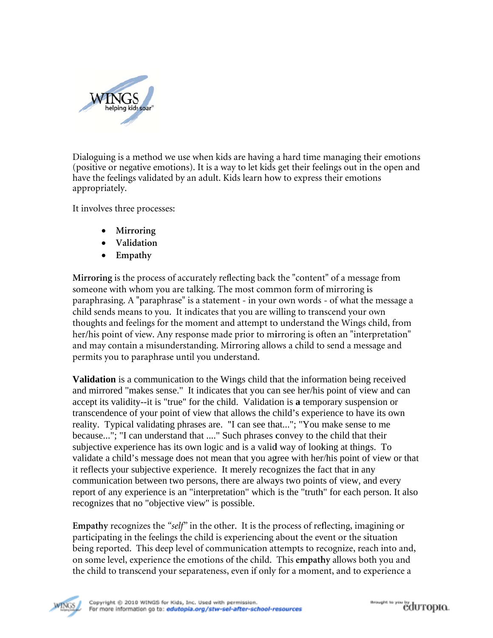

Dialoguing is a method we use when kids are having a hard time managing their emotions (positive or negative emotions). It is a way to let kids get their feelings out in the open and have the feelings validated by an adult. Kids learn how to express their emotions appropriately.

It involves three processes:

- Mirroring
- Validation
- $\bullet$  Empathy

Mirroring is the process of accurately reflecting back the "content" of a message from someone with whom you are talking. The most common form of mirroring is paraphrasing. A "paraphrase" is a statement - in your own words - of what the message a child sends means to you. It indicates that you are willing to transcend your own thoughts and feelings for the moment and attempt to understand the Wings child, from her/his point of view. Any response made prior to mirroring is often an "interpretation" and may contain a misunderstanding. Mirroring allows a child to send a message and permits you to paraphrase until you understand.

**Validation** is a communication to the Wings child that the information being received and mirrored "makes sense." It indicates that you can see her/his point of view and can accept its validity--it is "true" for the child. Validation is a temporary suspension or transcendence of your point of view that allows the child's experience to have its own reality. Typical validating phrases are. "I can see that..."; "You make sense to me because..."; "I can understand that ...." Such phrases convey to the child that their subjective experience has its own logic and is a valid way of looking at things. To validate a child's message does not mean that you agree with her/his point of view or that it reflects your subjective experience. It merely recognizes the fact that in any communication between two persons, there are always two points of view, and every report of any experience is an "interpretation" which is the "truth" for each person. It also recognizes that no "objective view" is possible.

Empathy recognizes the "self" in the other. It is the process of reflecting, imagining or participating in the feelings the child is experiencing about the event or the situation being reported. This deep level of communication attempts to recognize, reach into and, on some level, experience the emotions of the child. This empathy allows both you and the child to transcend your separateness, even if only for a moment, and to experience a